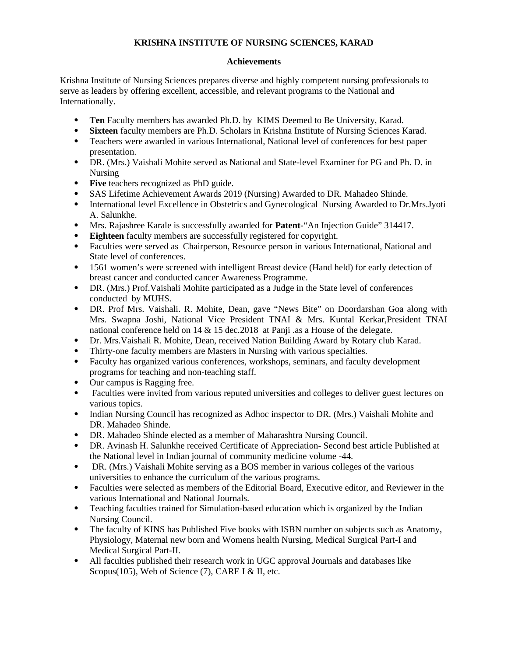## **KRISHNA INSTITUTE OF NURSING SCIENCES, KARAD**

## **Achievements**

Krishna Institute of Nursing Sciences prepares diverse and highly competent nursing professionals to serve as leaders by offering excellent, accessible, and relevant programs to the National and Internationally.

- **Ten** Faculty members has awarded Ph.D. by KIMS Deemed to Be University, Karad.
- **Sixteen** faculty members are Ph.D. Scholars in Krishna Institute of Nursing Sciences Karad.
- Teachers were awarded in various International, National level of conferences for best paper presentation.
- DR. (Mrs.) Vaishali Mohite served as National and State-level Examiner for PG and Ph. D. in Nursing
- **Five** teachers recognized as PhD guide.
- SAS Lifetime Achievement Awards 2019 (Nursing) Awarded to DR. Mahadeo Shinde.
- International level Excellence in Obstetrics and Gynecological Nursing Awarded to Dr.Mrs.Jyoti A. Salunkhe.
- Mrs. Rajashree Karale is successfully awarded for **Patent-**"An Injection Guide" 314417.
- **Eighteen** faculty members are successfully registered for copyright.
- Faculties were served as Chairperson, Resource person in various International, National and State level of conferences.
- 1561 women's were screened with intelligent Breast device (Hand held) for early detection of breast cancer and conducted cancer Awareness Programme.
- DR. (Mrs.) Prof.Vaishali Mohite participated as a Judge in the State level of conferences conducted by MUHS.
- DR. Prof Mrs. Vaishali. R. Mohite, Dean, gave "News Bite" on Doordarshan Goa along with Mrs. Swapna Joshi, National Vice President TNAI & Mrs. Kuntal Kerkar,President TNAI national conference held on 14 & 15 dec.2018 at Panji .as a House of the delegate.
- Dr. Mrs.Vaishali R. Mohite, Dean, received Nation Building Award by Rotary club Karad.
- Thirty-one faculty members are Masters in Nursing with various specialties.
- Faculty has organized various conferences, workshops, seminars, and faculty development programs for teaching and non-teaching staff.
- Our campus is Ragging free.
- Faculties were invited from various reputed universities and colleges to deliver guest lectures on various topics.
- Indian Nursing Council has recognized as Adhoc inspector to DR. (Mrs.) Vaishali Mohite and DR. Mahadeo Shinde.
- DR. Mahadeo Shinde elected as a member of Maharashtra Nursing Council.
- DR. Avinash H. Salunkhe received Certificate of Appreciation- Second best article Published at the National level in Indian journal of community medicine volume -44.
- DR. (Mrs.) Vaishali Mohite serving as a BOS member in various colleges of the various universities to enhance the curriculum of the various programs.
- Faculties were selected as members of the Editorial Board, Executive editor, and Reviewer in the various International and National Journals.
- Teaching faculties trained for Simulation-based education which is organized by the Indian Nursing Council.
- The faculty of KINS has Published Five books with ISBN number on subjects such as Anatomy, Physiology, Maternal new born and Womens health Nursing, Medical Surgical Part-I and Medical Surgical Part-II.
- All faculties published their research work in UGC approval Journals and databases like Scopus(105), Web of Science (7), CARE I & II, etc.